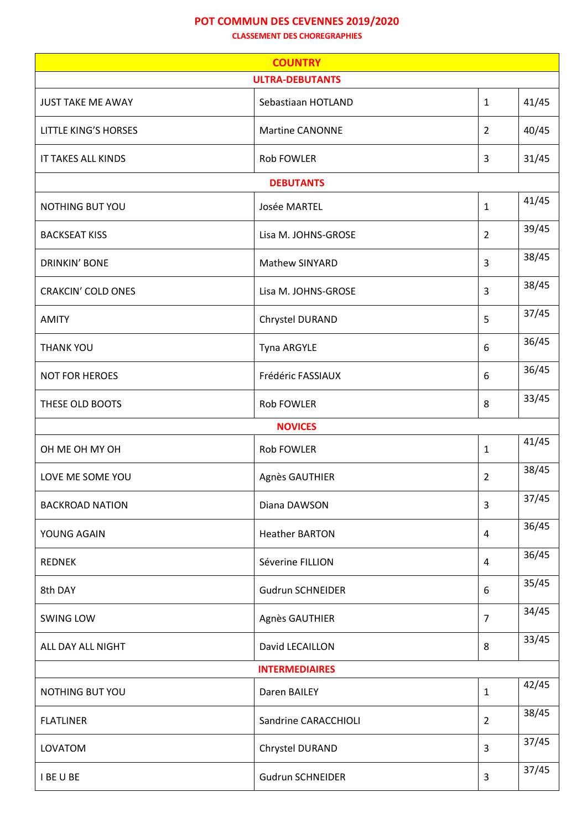## **POT COMMUN DES CEVENNES 2019/2020**

**CLASSEMENT DES CHOREGRAPHIES**

| <b>COUNTRY</b>              |                         |                |       |  |
|-----------------------------|-------------------------|----------------|-------|--|
|                             | <b>ULTRA-DEBUTANTS</b>  |                |       |  |
| <b>JUST TAKE ME AWAY</b>    | Sebastiaan HOTLAND      | $\mathbf{1}$   | 41/45 |  |
| <b>LITTLE KING'S HORSES</b> | <b>Martine CANONNE</b>  | $\overline{2}$ | 40/45 |  |
| IT TAKES ALL KINDS          | <b>Rob FOWLER</b>       | 3              | 31/45 |  |
|                             | <b>DEBUTANTS</b>        |                |       |  |
| NOTHING BUT YOU             | Josée MARTEL            | $\mathbf{1}$   | 41/45 |  |
| <b>BACKSEAT KISS</b>        | Lisa M. JOHNS-GROSE     | $\overline{2}$ | 39/45 |  |
| <b>DRINKIN' BONE</b>        | Mathew SINYARD          | 3              | 38/45 |  |
| <b>CRAKCIN' COLD ONES</b>   | Lisa M. JOHNS-GROSE     | 3              | 38/45 |  |
| <b>AMITY</b>                | Chrystel DURAND         | 5              | 37/45 |  |
| <b>THANK YOU</b>            | Tyna ARGYLE             | 6              | 36/45 |  |
| <b>NOT FOR HEROES</b>       | Frédéric FASSIAUX       | 6              | 36/45 |  |
| THESE OLD BOOTS             | <b>Rob FOWLER</b>       | 8              | 33/45 |  |
|                             | <b>NOVICES</b>          |                |       |  |
| OH ME OH MY OH              | Rob FOWLER              | $\mathbf{1}$   | 41/45 |  |
| LOVE ME SOME YOU            | Agnès GAUTHIER          | $\overline{2}$ | 38/45 |  |
| <b>BACKROAD NATION</b>      | Diana DAWSON            | 3              | 37/45 |  |
| YOUNG AGAIN                 | <b>Heather BARTON</b>   | $\overline{4}$ | 36/45 |  |
| <b>REDNEK</b>               | Séverine FILLION        | $\overline{4}$ | 36/45 |  |
| 8th DAY                     | <b>Gudrun SCHNEIDER</b> | 6              | 35/45 |  |
| SWING LOW                   | Agnès GAUTHIER          | $\overline{7}$ | 34/45 |  |
| ALL DAY ALL NIGHT           | David LECAILLON         | 8              | 33/45 |  |
|                             | <b>INTERMEDIAIRES</b>   |                |       |  |
| NOTHING BUT YOU             | Daren BAILEY            | $\mathbf{1}$   | 42/45 |  |
| <b>FLATLINER</b>            | Sandrine CARACCHIOLI    | $\overline{2}$ | 38/45 |  |
| LOVATOM                     | Chrystel DURAND         | 3              | 37/45 |  |
| I BE U BE                   | <b>Gudrun SCHNEIDER</b> | 3              | 37/45 |  |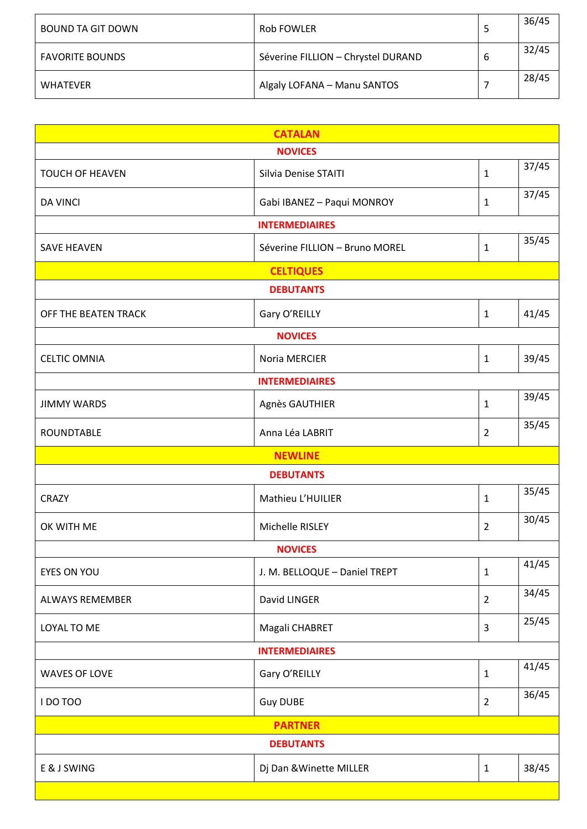| BOUND TA GIT DOWN      | Rob FOWLER                         |   | 36/45 |
|------------------------|------------------------------------|---|-------|
| <b>FAVORITE BOUNDS</b> | Séverine FILLION - Chrystel DURAND | b | 32/45 |
| <b>WHATEVER</b>        | Algaly LOFANA - Manu SANTOS        |   | 28/45 |

| <b>CATALAN</b>         |                                |                |       |  |
|------------------------|--------------------------------|----------------|-------|--|
|                        | <b>NOVICES</b>                 |                |       |  |
| <b>TOUCH OF HEAVEN</b> | <b>Silvia Denise STAITI</b>    | $\mathbf{1}$   | 37/45 |  |
| <b>DA VINCI</b>        | Gabi IBANEZ - Paqui MONROY     | $\mathbf{1}$   | 37/45 |  |
|                        | <b>INTERMEDIAIRES</b>          |                |       |  |
| <b>SAVE HEAVEN</b>     | Séverine FILLION - Bruno MOREL | 1              | 35/45 |  |
|                        | <b>CELTIQUES</b>               |                |       |  |
|                        | <b>DEBUTANTS</b>               |                |       |  |
| OFF THE BEATEN TRACK   | Gary O'REILLY                  | $\mathbf{1}$   | 41/45 |  |
|                        | <b>NOVICES</b>                 |                |       |  |
| <b>CELTIC OMNIA</b>    | Noria MERCIER                  | $\mathbf{1}$   | 39/45 |  |
|                        | <b>INTERMEDIAIRES</b>          |                |       |  |
| <b>JIMMY WARDS</b>     | Agnès GAUTHIER                 | $\mathbf{1}$   | 39/45 |  |
| ROUNDTABLE             | Anna Léa LABRIT                | $\overline{2}$ | 35/45 |  |
|                        | <b>NEWLINE</b>                 |                |       |  |
|                        | <b>DEBUTANTS</b>               |                |       |  |
| <b>CRAZY</b>           | Mathieu L'HUILIER              | $\mathbf{1}$   | 35/45 |  |
| OK WITH ME             | Michelle RISLEY                | $\overline{2}$ | 30/45 |  |
| <b>NOVICES</b>         |                                |                |       |  |
| EYES ON YOU            | J. M. BELLOQUE - Daniel TREPT  | $\mathbf{1}$   | 41/45 |  |
| <b>ALWAYS REMEMBER</b> | David LINGER                   | $\overline{2}$ | 34/45 |  |
| LOYAL TO ME            | Magali CHABRET                 | $\overline{3}$ | 25/45 |  |
|                        | <b>INTERMEDIAIRES</b>          |                |       |  |
| <b>WAVES OF LOVE</b>   | Gary O'REILLY                  | $\mathbf{1}$   | 41/45 |  |
| I DO TOO               | <b>Guy DUBE</b>                | $\overline{2}$ | 36/45 |  |
| <b>PARTNER</b>         |                                |                |       |  |
| <b>DEBUTANTS</b>       |                                |                |       |  |
| E & J SWING            | Dj Dan & Winette MILLER        | $\mathbf{1}$   | 38/45 |  |
|                        |                                |                |       |  |